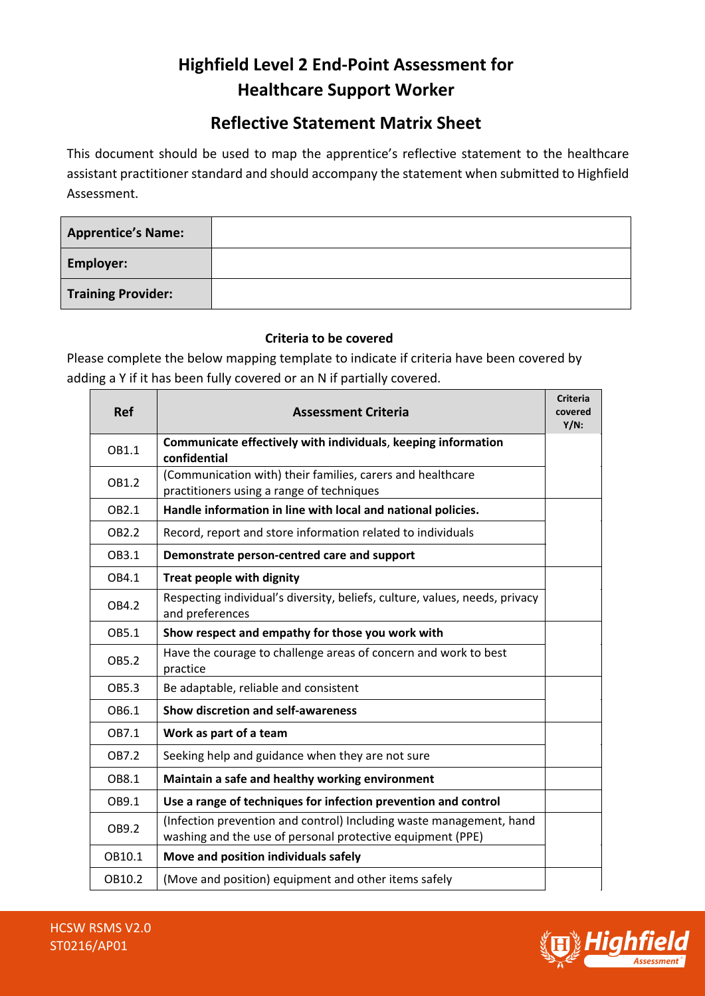# **Highfield Level 2 End-Point Assessment for Healthcare Support Worker**

## **Reflective Statement Matrix Sheet**

This document should be used to map the apprentice's reflective statement to the healthcare assistant practitioner standard and should accompany the statement when submitted to Highfield Assessment.

| <b>Apprentice's Name:</b> |  |
|---------------------------|--|
| <b>Employer:</b>          |  |
| <b>Training Provider:</b> |  |

### **Criteria to be covered**

Please complete the below mapping template to indicate if criteria have been covered by adding a Y if it has been fully covered or an N if partially covered.

| <b>Ref</b>        | <b>Assessment Criteria</b>                                                                                                        | <b>Criteria</b><br>covered<br>$Y/N$ : |
|-------------------|-----------------------------------------------------------------------------------------------------------------------------------|---------------------------------------|
| OB1.1             | Communicate effectively with individuals, keeping information<br>confidential                                                     |                                       |
| OB1.2             | (Communication with) their families, carers and healthcare<br>practitioners using a range of techniques                           |                                       |
| OB2.1             | Handle information in line with local and national policies.                                                                      |                                       |
| OB <sub>2.2</sub> | Record, report and store information related to individuals                                                                       |                                       |
| OB3.1             | Demonstrate person-centred care and support                                                                                       |                                       |
| OB4.1             | <b>Treat people with dignity</b>                                                                                                  |                                       |
| OB4.2             | Respecting individual's diversity, beliefs, culture, values, needs, privacy<br>and preferences                                    |                                       |
| OB5.1             | Show respect and empathy for those you work with                                                                                  |                                       |
| OB5.2             | Have the courage to challenge areas of concern and work to best<br>practice                                                       |                                       |
| OB5.3             | Be adaptable, reliable and consistent                                                                                             |                                       |
| OB6.1             | <b>Show discretion and self-awareness</b>                                                                                         |                                       |
| OB7.1             | Work as part of a team                                                                                                            |                                       |
| OB7.2             | Seeking help and guidance when they are not sure                                                                                  |                                       |
| OB8.1             | Maintain a safe and healthy working environment                                                                                   |                                       |
| OB9.1             | Use a range of techniques for infection prevention and control                                                                    |                                       |
| OB9.2             | (Infection prevention and control) Including waste management, hand<br>washing and the use of personal protective equipment (PPE) |                                       |
| OB10.1            | Move and position individuals safely                                                                                              |                                       |
| OB10.2            | (Move and position) equipment and other items safely                                                                              |                                       |